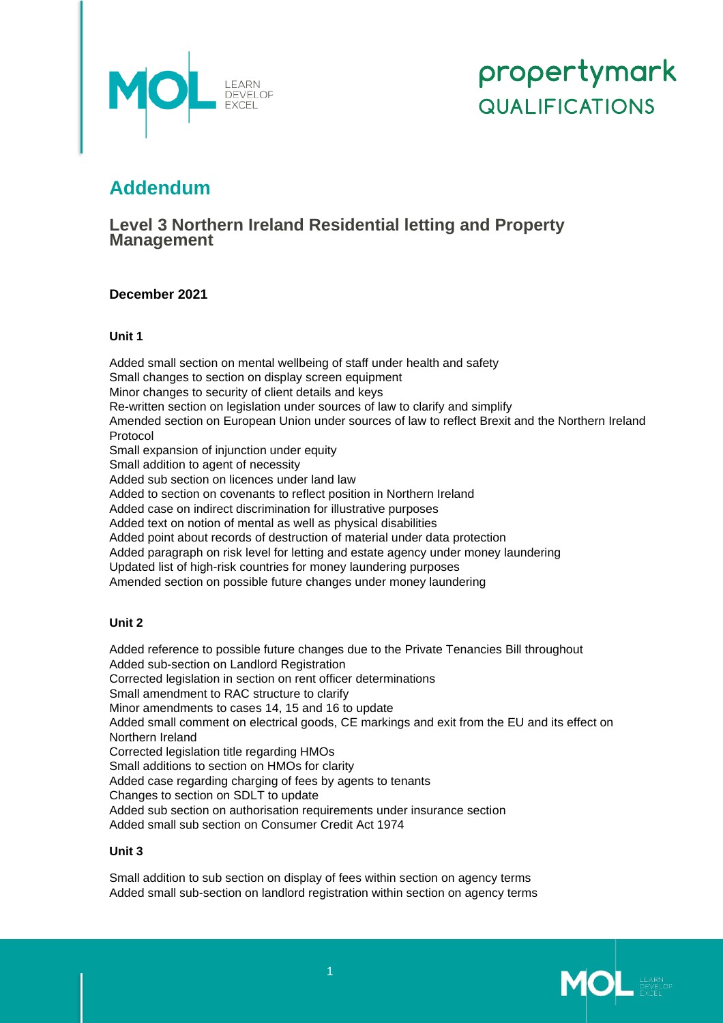

# propertymark **QUALIFICATIONS**

## **Addendum**

### **Level 3 Northern Ireland Residential letting and Property Management**

#### **December 2021**

#### **Unit 1**

Added small section on mental wellbeing of staff under health and safety Small changes to section on display screen equipment Minor changes to security of client details and keys Re-written section on legislation under sources of law to clarify and simplify Amended section on European Union under sources of law to reflect Brexit and the Northern Ireland Protocol Small expansion of injunction under equity Small addition to agent of necessity Added sub section on licences under land law Added to section on covenants to reflect position in Northern Ireland Added case on indirect discrimination for illustrative purposes Added text on notion of mental as well as physical disabilities Added point about records of destruction of material under data protection Added paragraph on risk level for letting and estate agency under money laundering Updated list of high-risk countries for money laundering purposes Amended section on possible future changes under money laundering

#### **Unit 2**

Added reference to possible future changes due to the Private Tenancies Bill throughout Added sub-section on Landlord Registration Corrected legislation in section on rent officer determinations Small amendment to RAC structure to clarify Minor amendments to cases 14, 15 and 16 to update Added small comment on electrical goods, CE markings and exit from the EU and its effect on Northern Ireland Corrected legislation title regarding HMOs Small additions to section on HMOs for clarity Added case regarding charging of fees by agents to tenants Changes to section on SDLT to update Added sub section on authorisation requirements under insurance section Added small sub section on Consumer Credit Act 1974

#### **Unit 3**

Small addition to sub section on display of fees within section on agency terms Added small sub-section on landlord registration within section on agency terms